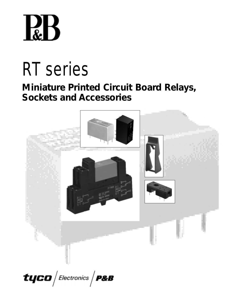

# RT series

# **Miniature Printed Circuit Board Relays, Sockets and Accessories**



tyco $/$ Electronics  $/$  P&B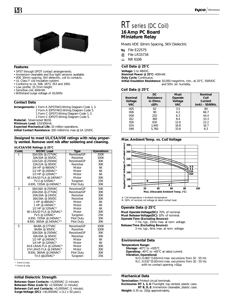

#### **Features**

- SPST through DPDT contact arrangements.
- Immersion cleanable and flux tight versions available.
- VDE 10mm spacing, 5kV dielectric, coil to contacts.
- UL Class F coil insulation system.
- Conforms to UL 508, 1873, 353 and 1950.
- Low profile; 15.7mm height.
- Sensitive coil; 400mW.
- Withstand surge voltage of 10,000V.

### **Contact Data**

**Arrangements:** 1 Form A (SPST-NO) Wiring Diagram Code 1, 3. 2 Form A (DPST-NO) Wiring Diagram Code 5. 1 Form C (SPDT) Wiring Diagram Code 1, 3. 2 Form C (DPDT) Wiring Diagram Code 5. **Material:** Silver-nickel 90/10. **Minimum Load:** 12V/100mA. **Expected Mechanical Life:** 10 million operations.

**Initial Contact Resistance:** 100 milliohms max @ 1A 12VDC.

#### **Designed to meet UL/CSA/VDE ratings with relay properly vented. Remove vent nib after soldering and cleaning.**

#### **UL/CSA/VDE Ratings @ 25°C**

| Code | <b>NO/NC Load</b>         | <b>Type</b>  | <b>Operations</b> |
|------|---------------------------|--------------|-------------------|
| 1    | 10A/10A @ 277VAC          | Resistive/GP | 100K              |
|      | 10A/10A @ 30VDC           | Resistive    | 100K              |
|      | 12A/12A @ 250VAC          | Resistive/GP | 30K               |
|      | 12A/12A @ 30VDC           | Resistive    | 30K               |
|      | 3/4 HP @ 480VAC*          | Motor        | 6K                |
|      | 1/2 HP @ 240VAC*          | Motor        | 6K                |
|      | 1/3 HP @ 120VAC*          | Motor        | 6K                |
|      | 48 LRA/10 FLA @ 240VAC*   | Motor        | 30K               |
|      | TV-3 @ 120VAC*            | Tungsten     | 25K               |
|      | A300, 720VA @ 240VAC*     | Pilot Duty   | 30K               |
| 3    | 16A/16A @ 250VAC          | Resistive/GP | 50K               |
|      | 20A/20A @ 277VAC          | Resistive/GP | 30K               |
|      | 20A/20A @ 24VDC           | Resistive    | 30K               |
|      | 16A/16A @ 30VDC           | Resistive    | 30K               |
|      | 1 HP @ 480VAC*            | Motor        | 6K                |
|      | 1 HP @ 240VAC*            | Motor        | 6K                |
|      | 1/2 HP @ 120VAC*          | Motor        | 6K                |
|      | 60   RA/10 FI A @ 250VAC* | Motor        | 30K               |
|      | TV-5 @ 120VAC*            | Tungsten     | 25K               |
|      | A300, 720VA @ 240VAC*     | Pilot Duty   | 30K               |
|      | B300, 360VA @ 240VAC**    | Pilot Duty   | 30K               |
| 5    | 8A/8A @ 277VAC            | Resistive/GP | 100K              |
|      | 8A/8A @ 30VDC             | Resistive    | 100K              |
|      | 10A/10A @ 250VAC          | Resistive/GP | 30K               |
|      | 10A/10A @ 30VDC           | Resistive    | 30K               |
|      | 1/2 HP @ 240VAC*          | Motor        | 6K                |
|      | 1/4 HP @ 120VAC*          | Motor        | 6K                |
|      | 34.8 LRA/6 FLA @ 120VAC*  | Motor        | 30K               |
|      | 17.4 LRA/5 FLA @ 240VAC*  | Motor        | 30K               |
|      | B300, 360VA @ 240VAC*     | Pilot Duty   | 30K               |
|      | TV-3 @120VAC*             | Tungsten     | 25K               |

#### \* Form A only

\*\* Form B only

#### **Initial Dielectric Strength**

**Between Open Contacts:** >1,000VAC (1 minute). **Between Poles (code 5):** >2,500VAC (1 minute). **Between Coil and Contacts:** >5,000VAC (1 minute). **Surge Voltage (DC):** >10,000VAC x (1.2 x 50 µsec).

# RT series (DC Coil) **16 Amp PC Board Miniature Relay**

Meets VDE 10mm Spacing, 5KV Dielectric

- **File E22575**
- GP. File LR15734
- NR 6106  $\sqrt{2}$

#### **Coil Data @ 25°C**

**Voltage:** 5 to 48VDC. **Nominal Power @ 25°C:** 400mW. **Duty Cycle:** Continuous. **Initial Insulation Resistance:** 10,000 megohms, min., at 25°C, 500VDC and 50% rel. humidity.

#### **Coil Data @ 25°C**

| <b>Nominal</b><br>Voltage<br><b>VAC</b> | DC.<br>Resistance<br>in Ohms<br>±10% | <b>Must</b><br>Operate<br>Voltage<br><b>VAC</b> | <b>Nominal</b><br>Coil<br>Current<br>$(mA) - 50/60$ Hz. |
|-----------------------------------------|--------------------------------------|-------------------------------------------------|---------------------------------------------------------|
| 005                                     | 62                                   | 3.5                                             | 80                                                      |
| 006                                     | 90                                   | 4.2                                             | 66.7                                                    |
| 009                                     | 202                                  | 6.3                                             | 44.4                                                    |
| 012                                     | 360                                  | 8.4                                             | 33.3                                                    |
| 018                                     | 810                                  | 12.6                                            | 22.2                                                    |
| 024                                     | 1.440                                | 16.8                                            | 16.7                                                    |
| 048                                     | 5.760                                | 33.6                                            | 8.3                                                     |

#### **Max. Ambient Temp. vs. Coil Voltage**



A: Coil temperature = Ambient temperature.

B: 110% of nominal coil voltage at rated contact load.

#### **Operate Data @ 25°C**

**Must Operate Voltage(DC):** 70% of nominal. **Must Release Voltage(DC):** 10% of nominal. **Operate Time (Excluding Bounce):** 7 ms, typ., 15ms max. at nom. voltage.

**Release Time (Excluding Bounce):**

3 ms, typ., 6ms max. at nom. voltage.

#### **Environmental Data**

**Temperature Range:**

**Storage:** -40°C to +105°C.

- **Operating:** -40°C to +85°C at rated current.
- **Vibration, Operational** 
	- N.O.:0.065"(1.65mm) max. excursions from 10 55 Hz: N.C.:0.032"(0.82mm) max. excursions from 10 - 55 Hz: with no contact opening >10µs

#### **Mechanical Data**

**Termination:** Printed circuit terminals. **Enclosures: RT 1, 3, 4:** Flux-tight, top vented, plastic case. **RT B, D, E:** Immersion cleanable, plastic case. **Weight:** 0.35 oz. (10g) approximately.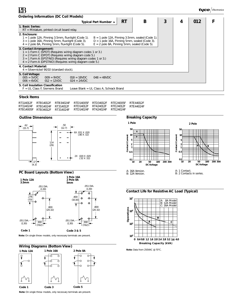| <b>Ordering Information (DC Coil Models)</b>                                                                                                                                                                                                                                                                                                |   |     |  |  |  |  |
|---------------------------------------------------------------------------------------------------------------------------------------------------------------------------------------------------------------------------------------------------------------------------------------------------------------------------------------------|---|-----|--|--|--|--|
| B<br>3<br>RT<br>Typical Part Number ►                                                                                                                                                                                                                                                                                                       | 4 | 012 |  |  |  |  |
| 1. Basic Series:<br>$RT =$ Miniature, printed circuit board relay.                                                                                                                                                                                                                                                                          |   |     |  |  |  |  |
| 2. Enclosure:<br>$B = 1$ pole 12A, Pinning 3.5mm, sealed (Code 1).<br>$1 = 1$ pole 12A, Pinning 3.5mm, flux-tight (Code 1).<br>$D = 1$ pole 16A, Pinning 5mm, sealed (Code 3).<br>$3 = 1$ pole 16A, Pinning 5mm, flux-tight (Code 3).<br>$E = 2$ pole 8A, Pinning 5mm, sealed (Code 5).<br>4 = 2 pole 8A, Pinning 5mm, flux-tight (Code 5). |   |     |  |  |  |  |
| 3. Contact Arrangement:<br>$1 = 1$ Form C (SPDT) (Requires wiring diagram codes 1 or 3.)<br>$2 = 2$ Form C (DPDT) (Requires wiring diagram code 5.)<br>$3 = 1$ Form A (SPST-NO) (Requires wiring diagram codes 1 or 3.)<br>$4 = 2$ Form A (DPST-NO) (Requires wiring diagram code 5.)                                                       |   |     |  |  |  |  |
| 4. Contact Material:<br>4 = Silver-nickel 90/10 (standard stock).                                                                                                                                                                                                                                                                           |   |     |  |  |  |  |
| 5. Coil Voltage:<br>$005 = 5VDC$<br>$048 = 48VDC$<br>$009 = 9VDC$<br>$018 = 18VDC$<br>$012 = 12VDC$<br>$024 = 24VDC$<br>$006 = 6VDC$                                                                                                                                                                                                        |   |     |  |  |  |  |
| 5. Coil Insulation Classification<br>$F = UL$ Class F. Siemens Brand<br>Leave Blank = UL Class A. Schrack Brand                                                                                                                                                                                                                             |   |     |  |  |  |  |

#### **Stock Items**

|  | RT114012F RTB14012F RTB34024F RTD14005F RTD34012F RTE24005F RTF44012F |  |  |
|--|-----------------------------------------------------------------------|--|--|
|  | RT114024F RTB14024F RT314012F RTD14012F RT424012F RTE24012F RTF44024F |  |  |
|  | RTB14005F RTB34012F RT314024F RTD14024F RT424024F RTE24024F           |  |  |

#### **Outline Dimensions**



#### **PC Board Layouts (Bottom View)**



**Note:** On single throw models, only necessary terminals are present.



**Note:** On single throw models, only necessary terminals are present.

#### **Breaking Capacity**



#### **Contact Life for Resistive AC Load (Typical)**



**Note:** Data from 250VAC @ 70°C.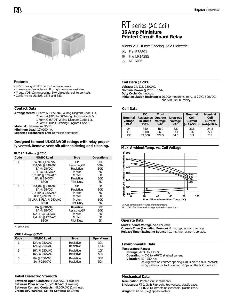

#### **Features**

RR

- SPST through DPDT contact arrangements.
- Immersion cleanable and flux tight versions available.
- Meets VDE 10mm spacing, 5kV dielectric, coil to contacts.
- Conforms to UL 508, 1873 and 353.

#### **Contact Data**

- **Arrangements:** 1 Form A (SPST-NO) Wiring Diagram Code 1, 3. 2 Form A (DPST-NO) Wiring Diagram Code 5.
	- 1 Form C (SPDT) Wiring Diagram Code 1, 3.
	- 2 Form C (DPDT) Wiring Diagram Code 5.

**Material:** Silver-nickel 90/10.

**Minimum Load:** 12V/100mA.

**Expected Mechanical Life:** 10 million operations.

#### **Designed to meet UL/CSA/VDE ratings with relay properly vented. Remove vent nib after soldering and cleaning.**

#### **UL/CSA Ratings @ 25°C:**

| Code | <b>NO/NC Load</b>      | <b>Type</b>      | <b>Operations</b> |
|------|------------------------|------------------|-------------------|
| 1    | 12A NO @ 240VAC        | GP               | 30K               |
|      | 10A/5A @ 240VAC        | Resistive/GP     | 100K              |
|      | 8A @ 28VDC             | Resistive        | 30K               |
|      | 1 HP @ 240VAC*         | Motor            | 6K                |
|      | 1/2 HP @ 120VAC*       | Motor            | 6K                |
|      | 8A @ 28VDC*            | Resistive        | 30K               |
|      | <b>B300</b>            | Pilot Duty       | 6K                |
| 3    | 16A/8A @ 240VAC        | GP               | 6K                |
|      | 8A @ 28VDC             | <b>Resistive</b> | 30K               |
|      | 1/2 HP @ 120VAC*       | Motor            | 6K                |
|      | 1HP @ 240VAC*          | Motor            | 6K                |
|      | 48 LRA, 8 FLA @ 240VAC | Motor            | 30K               |
|      | B300                   | Pilot Duty       | 6K                |
| 5    | 8A @ 240VAC            | Resistive        | 30K               |
|      | 8A @ 28VDC             | Resistive/GP     | 30K               |
|      | 1/2 HP @ 240VAC        | Motor            | 6K                |
|      | 1/4 HP @ 120VAC        | Motor            | 6K                |
|      | <b>B300</b>            | Pilot Duty       | 6K                |

\* Form A only

#### **VDE Ratings @ 25°C:**

| Code | <b>NO/NC Load</b> | <b>Type</b> | <b>Operations</b> |
|------|-------------------|-------------|-------------------|
|      | 12A @ 250VAC      | Resistive   | 30K               |
|      | 12A @ 250VAC      | Resistive   | 100K              |
| 3    | 16A @ 250VAC      | Resistive   | 10K               |
|      | 16A @ 250VAC      | Resistive   | 50K               |
| 5    | 8A @ 250VAC       | Resistive   | 30K               |
|      | 8A @ 250VAC       | Resistive   | 50K               |

#### **Initial Dielectric Strength**

**Between Open Contacts:** >1,000VAC (1 minute). **Between Poles (code 5):** >2,500VAC (1 minute). **Between Coil and Contacts:** >5,000VAC (1 minute). **Creepage/Clearance, Coil to Contact:** 10/10mm.

# RT series (AC Coil) **16 Amp Miniature Printed Circuit Board Relay**

Meets VDE 10mm Spacing, 5KV Dielectric

- **File E38891**
- File LR14385 Œ
- NR 6106  $\mathcal{L}_{\mathbf{R}}$

#### **Coil Data @ 20°C**

**Voltage:** 24, 115, 230VAC. **Nominal Power @ 25°C:** .75VA. **Duty Cycle:** Continuous. **Initial Insulation Resistance:** 10,000 megohms, min., at 20°C, 500VDC and 50% rel. humidity..

#### **Coil Data**

| <b>Nominal</b><br>Voltage<br><b>VAC</b> | DC.<br>Resistance<br>in Ohms<br>±10% | <b>Must</b><br>Operate<br>Voltage<br><b>VAC</b> | Drop-out<br>Voltage<br><b>VAC</b> | <b>Nominal</b><br>Coil<br>Current<br>$\mathsf{mA}-50\mathsf{Hz}.$ | <b>Nominal</b><br>Coil<br>Current<br>$(mA)$ -60Hz. |
|-----------------------------------------|--------------------------------------|-------------------------------------------------|-----------------------------------|-------------------------------------------------------------------|----------------------------------------------------|
| 24                                      | 350                                  | 18.0                                            | 3.6                               | 31.6                                                              | 24.3                                               |
| 115                                     | 8,100                                | 86.3                                            | 17.3                              | 6.6                                                               | 5.1                                                |
| 230                                     | 32.500                               | 172.5                                           | 34.5                              | 3.3                                                               | 2.3                                                |

#### **Max. Ambient Temp. vs. Coil Voltage**



A: Coil temperature = Ambient temperature.

B: 110% of nominal coil voltage at rated contact load.

#### **Operate Data**

**Must Operate Voltage:** See coil data. **Operate Time (Excluding Bounce):** 8 ms, typ., at nom. voltage. **Release Time (Excluding Bounce):** 11 ms, typ., at nom. voltage.

#### **Environmental Data**

- **Temperature Range:**
	- **Storage:** -40°C to +105°C.
	- **Operating:** -40°C to +70°C at rated current.
	- **Vibration:** 30 150 Hz:
		- at 20g with no contact opening >10µs on the N.O. contact; at 5g with no contact opening >10µs on the N.C. contact.

#### **Mechanical Data**

**Termination:** Printed circuit terminals.

**Enclosures: RT 1, 3, 4:** Flux-tight, top vented, plastic case. **RT B, D, E:** Immersion cleanable, plastic case.

**Weight:** 0.42 oz. (12g) approximately.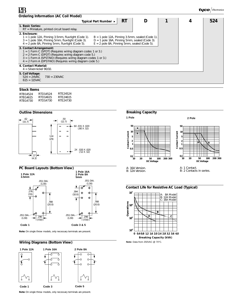| <b>Ordering Information (AC Coil Model)</b>                                                                                                                                                                                                                                                                                                   |   |     |
|-----------------------------------------------------------------------------------------------------------------------------------------------------------------------------------------------------------------------------------------------------------------------------------------------------------------------------------------------|---|-----|
| <b>RT</b><br>D<br>Typical Part Number ▶                                                                                                                                                                                                                                                                                                       | 4 | 524 |
| 1. Basic Series:<br>$RT =$ Miniature, printed circuit board relay.                                                                                                                                                                                                                                                                            |   |     |
| 2. Enclosure:<br>$1 = 1$ pole 12A, Pinning 3.5mm, flux-tight (Code 1).<br>$B = 1$ pole 12A, Pinning 3.5mm, sealed (Code 1).<br>$3 = 1$ pole 16A, Pinning 5mm, flux-tight (Code 3).<br>$D = 1$ pole 16A, Pinning 5mm, sealed (Code 3).<br>$4 = 2$ pole 8A, Pinning 5mm, flux-tight (Code 5).<br>$E = 2$ pole 8A, Pinning 5mm, sealed (Code 5). |   |     |
| 3. Contact Arrangement:<br>$1 = 1$ Form C (SPDT) (Requires wiring diagram codes 1 or 3.)<br>$2 = 2$ Form C (DPDT) (Requires wiring diagram code 5.)<br>$3 = 1$ Form A (SPST-NO) (Requires wiring diagram codes 1 or 3.)<br>$4 = 2$ Form A (DPST-NO) (Requires wiring diagram code 5.)                                                         |   |     |
| 4. Contact Material:<br>$4 =$ Silver-nickel 90/10.                                                                                                                                                                                                                                                                                            |   |     |
| 5. Coil Voltage:<br>$524 = 24 \text{VAC}$<br>$730 = 230 \text{VAC}$<br>$615 = 115$ VAC                                                                                                                                                                                                                                                        |   |     |
| Charle Homes                                                                                                                                                                                                                                                                                                                                  |   |     |

RTB14524 RTB14615 RTB14730 RTD14524 RTD14615 RTD14730 **Stock Items** RTE24524 RTE24615 RTE24730

#### **Outline Dimensions**



### **PC Board Layouts (Bottom View)**



**Note:** On single throw models, only necessary terminals are present.

#### **Wiring Diagrams (Bottom View)**



**Note:** On single throw models, only necessary terminals are present.



**Contact Life for Resistive AC Load (Typical)**

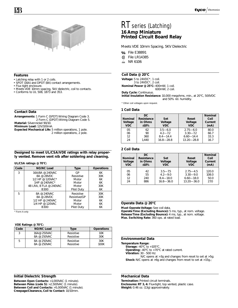

#### **Features**

- Latching relay with 1 or 2 coils.
- SPDT (16A) and DPDT (8A) contact arrangements.
- Flux tight enclosure.
- Meets VDE 10mm spacing, 5kV dielectric, coil to contacts.
- Conforms to UL 508, 1873 and 353.

#### **Contact Data**

**Arrangements:** 1 Form C (SPDT) Wiring Diagram Code 3. 2 Form C (DPDT) Wiring Diagram Code 5. **Material:** Silver-nickel 90/10.

**Minimum Load:** 12V/100mA.

**Expected Mechanical Life:** 5 million operations, 1 pole. 2 million operations, 2 pole.

#### **Designed to meet UL/CSA/VDE ratings with relay properly vented. Remove vent nib after soldering and cleaning.**

#### **UL/CSA ratings @ 70°C:**

| Code | <b>NO/NC Load</b>      | <b>Type</b>  | <b>Operations</b> |
|------|------------------------|--------------|-------------------|
| 3    | 16A/8A @ 240VAC        | GP           | 6K                |
|      | 8A @ 28VDC             | Resistive    | 30K               |
|      | 1/2 HP @ 120VAC*       | Motor        | 6K                |
|      | 1HP @ 240VAC*          | Motor        | 6K                |
|      | 48 LRA, 8 FLA @ 240VAC | Motor        | 30K               |
|      | B300                   | Pilot Duty   | 6K                |
| 5    | 8A @ 240VAC            | Resistive    | 30K               |
|      | 8A @ 28VDC             | Resistive/GP | 30K               |
|      | 1/2 HP @ 240VAC        | Motor        | 6K                |
|      | 1/4 HP @ 120VAC        | Motor        | 6K                |
|      | B300                   | Pilot Duty   | 6K                |

\* Form A only

#### **VDE Ratings @ 70°C:**

| Code | <b>NO/NC Load</b>          | Type                   | <b>Operations</b> |
|------|----------------------------|------------------------|-------------------|
|      | 16A@ 250VAC                | Resistive              | 10K               |
|      | 8A @ 250VAC                | Resistive              | 30K               |
| 5    | 8A @ 250VAC<br>8A @ 250VAC | Resistive<br>Resistive | 30K<br>100K       |

#### **Initial Dielectric Strength**

**Between Open Contacts:** >1,000VAC (1 minute). **Between Poles (code 5):** >2,500VAC (1 minute). **Between Coil and Contacts:** >5,000VAC (1 minute). **Creepage/Clearance, Coil to Contact:** 10/10mm.

## RT series (Latching) **16 Amp Miniature Printed Circuit Board Relay**

Meets VDE 10mm Spacing, 5KV Dielectric

- **RI** File E38891
- File LR14385 GP.
- **&** NR 6106

#### **Coil Data @ 20°C**

**Voltage:** 5 to 24VDC\*, 1 coil. 3 to 24VDC\*, 2 coil. **Nominal Power @ 25°C:** 400mW, 1 coil. 600mW, 2 coil.

**Duty Cycle:** Continuous.

**Initial Insulation Resistance:** 10,000 megohms, min., at 20°C, 500VDC and 50% rel. humidity.

\* Other coil voltages upon request.

#### **1 Coil Data**

| <b>Nominal</b><br>Voltage<br><b>VDC</b> | DC.<br>Resistance<br>in Ohms<br>±10% | Set<br>Voltage<br><b>VDC</b> | Reset<br>Voltage<br><b>VDC</b> | <b>Nominal</b><br>Coil<br>Current<br>(mA) |
|-----------------------------------------|--------------------------------------|------------------------------|--------------------------------|-------------------------------------------|
| 0 <sub>5</sub>                          | 62                                   | $3.5 - 6.0$                  | $2.75 - 6.0$                   | 80.0                                      |
| 06                                      | 90                                   | $4.2 - 7.2$                  | $3.30 - 7.2$                   | 66.7                                      |
| 12                                      | 360                                  | $8.4 - 14.4$                 | $6.60 - 14.4$                  | 33.3                                      |
| 24                                      | 1.440                                | $16.8 - 28.8$                | $13.20 - 28.8$                 | 16.7                                      |

#### **2 Coil Data**

| <b>Nominal</b><br>Voltage<br><b>VDC</b> | DC.<br>Resistance<br>in Ohms<br>±10% | Set<br>Voltage<br><b>VDC</b> | Reset<br>Voltage<br><b>VDC</b> | <b>Nominal</b><br>Coil<br>Current<br>(mA) |
|-----------------------------------------|--------------------------------------|------------------------------|--------------------------------|-------------------------------------------|
| 0 <sub>5</sub>                          | 42                                   | $3.5 - 7.5$                  | $2.75 - 4.5$                   | 120.0                                     |
| 06                                      | 55                                   | $4.2 - 9.0$                  | $3.30 - 9.0$                   | 108.0                                     |
| 12                                      | 240                                  | $8.4 - 18.0$                 | $6.60 - 18.0$                  | 50.0                                      |
| 24                                      | 886                                  | $16.8 - 36.0$                | $13.20 - 36.0$                 | 27.0                                      |

#### **Operate Data @ 20°C**

**Must Operate Voltage:** See coil data.

**Operate Time (Excluding Bounce):** 5 ms, typ., at nom. voltage. **Release Time (Excluding Bounce):** 4 ms, typ., at nom. voltage. **Max. Switching Rate:** 360 ops. at rated load.

#### **Environmental Data**

**Temperature Range:**

**Storage: -40°C** to +105°C.

**Operating:** -40°C to +70°C at rated current.

**Vibration:** 30 - 500 Hz:

N/C opens at >3g and changes from reset to set at >5g; **Shock:** N/C opens at >6g and changes from reset to set at >15g.;

#### **Mechanical Data**

**Termination:** Printed circuit terminals. **Enclosures: RT 3, 4:** Flux-tight, top vented, plastic case. **Weight:** 0.46 oz. (13g) approximately.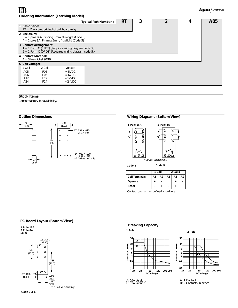| <b>Ordering Information (Latching Model)</b>                                                                                                |     |
|---------------------------------------------------------------------------------------------------------------------------------------------|-----|
| <b>RT</b><br>3<br>2<br>4<br>Typical Part Number ▶                                                                                           | A05 |
| 1. Basic Series:<br>$RT =$ Miniature, printed circuit board relay.                                                                          |     |
| 2. Enclosure:<br>$3 = 1$ pole 16A, Pinning 5mm, flux-tight (Code 3).<br>$4 = 2$ pole 8A, Pinning 5mm, flux-tight (Code 5).                  |     |
| 3. Contact Arrangement:<br>1 = 1 Form C (SPDT) (Requires wiring diagram code 3.)<br>$2 = 2$ Form C (DPDT) (Requires wiring diagram code 5.) |     |
| 4. Contact Material:<br>$4 =$ Silver-nickel 90/10.                                                                                          |     |
| 5. Coil Voltage:                                                                                                                            |     |
| 1 Coil<br>2 Coil<br>Voltage                                                                                                                 |     |
| A05<br>F <sub>05</sub><br>$=$ 5VDC                                                                                                          |     |
| A06<br>F <sub>06</sub><br>$= 6VDC$                                                                                                          |     |
| A12<br>F <sub>12</sub><br>$= 12VDC$<br>A24<br>$= 24VDC$<br>F <sub>24</sub>                                                                  |     |
|                                                                                                                                             |     |

## **Stock Items**

Consult factory for availability.



#### **Outline Dimensions** *Outline Dimensions Wiring Diagrams (Bottom View)*



**Code 3 Code 5**

|                       | 1 Coil |    | 2 Coils |                |    |
|-----------------------|--------|----|---------|----------------|----|
| <b>Coil Terminals</b> | A1     | Α2 | А1      | A <sub>3</sub> | Α2 |
| Operate               |        |    |         |                |    |
| Reset                 |        |    |         |                |    |

Contact position not defined at delivery.

### **PC Board Layout (Bottom View)**





## **Breaking Capacity**



**1 Pole 2 Pole**





A: 16A Version. B: 12A Version.